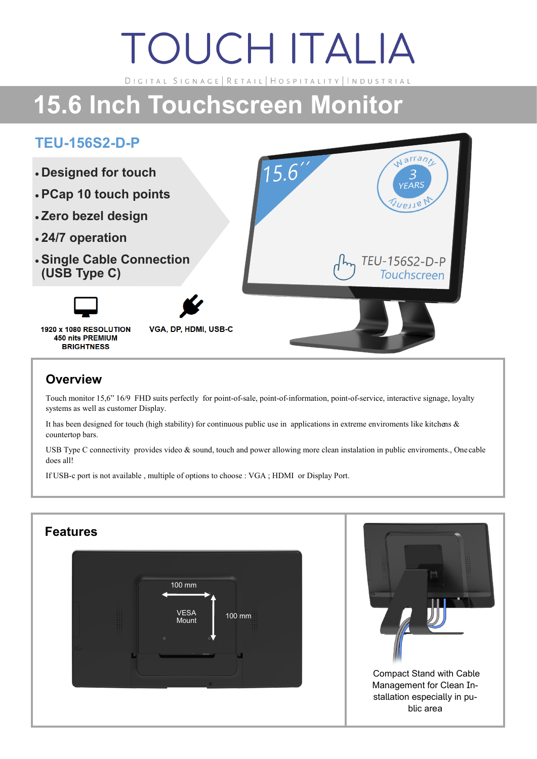# **TOUCH ITALIA**

DIGITAL SIGNAGE | RETAIL | HOSPITALITY | INDUSTRIAL

## **15.6 Inch Touchscreen Monitor**

#### **TEU-156S2-D-P**



#### **Overview**

Touch monitor 15,6" 16/9 FHD suits perfectly for point-of-sale, point-of-information, point-of-service, interactive signage, loyalty systems as well as customer Display.

It has been designed for touch (high stability) for continuous public use in applications in extreme enviroments like kitchens & countertop bars.

USB Type C connectivity provides video & sound, touch and power allowing more clean instalation in public enviroments., One cable does all!

If USB-c port is not available , multiple of options to choose : VGA ; HDMI or Display Port.